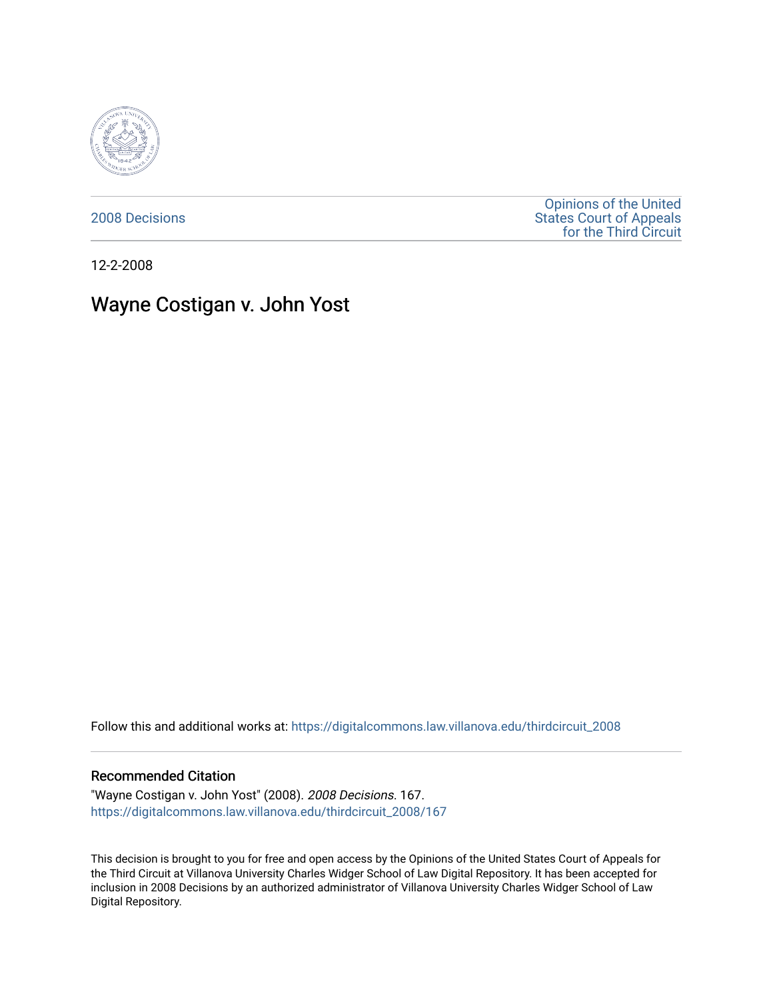

[2008 Decisions](https://digitalcommons.law.villanova.edu/thirdcircuit_2008)

[Opinions of the United](https://digitalcommons.law.villanova.edu/thirdcircuit)  [States Court of Appeals](https://digitalcommons.law.villanova.edu/thirdcircuit)  [for the Third Circuit](https://digitalcommons.law.villanova.edu/thirdcircuit) 

12-2-2008

# Wayne Costigan v. John Yost

Follow this and additional works at: [https://digitalcommons.law.villanova.edu/thirdcircuit\\_2008](https://digitalcommons.law.villanova.edu/thirdcircuit_2008?utm_source=digitalcommons.law.villanova.edu%2Fthirdcircuit_2008%2F167&utm_medium=PDF&utm_campaign=PDFCoverPages) 

#### Recommended Citation

"Wayne Costigan v. John Yost" (2008). 2008 Decisions. 167. [https://digitalcommons.law.villanova.edu/thirdcircuit\\_2008/167](https://digitalcommons.law.villanova.edu/thirdcircuit_2008/167?utm_source=digitalcommons.law.villanova.edu%2Fthirdcircuit_2008%2F167&utm_medium=PDF&utm_campaign=PDFCoverPages)

This decision is brought to you for free and open access by the Opinions of the United States Court of Appeals for the Third Circuit at Villanova University Charles Widger School of Law Digital Repository. It has been accepted for inclusion in 2008 Decisions by an authorized administrator of Villanova University Charles Widger School of Law Digital Repository.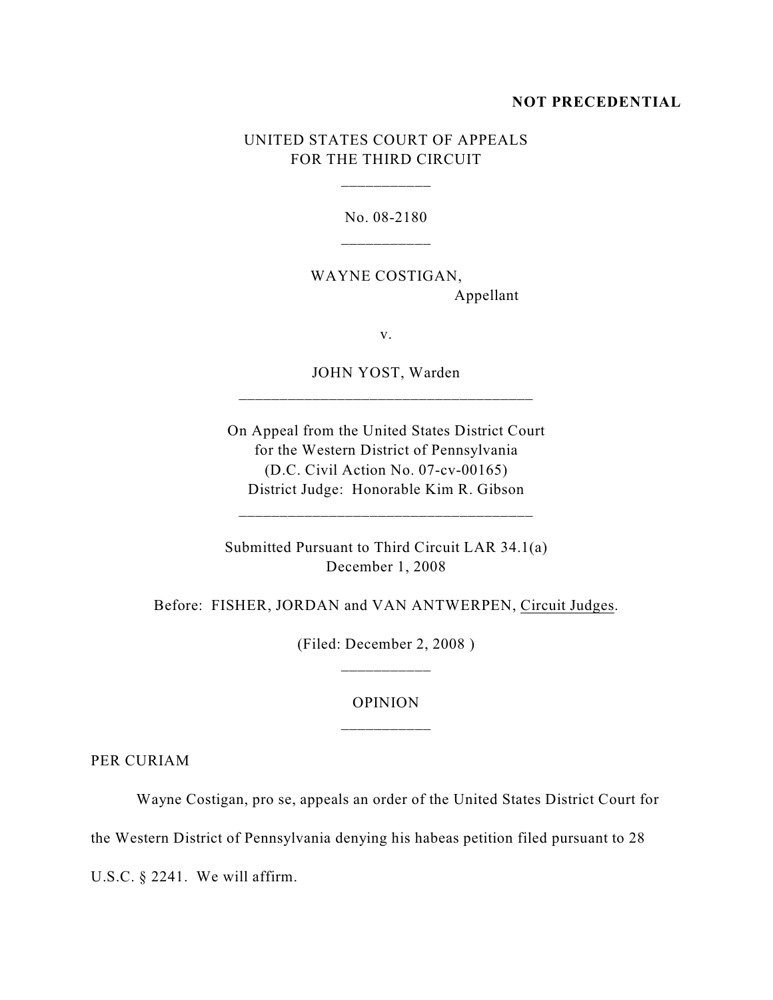#### **NOT PRECEDENTIAL**

## UNITED STATES COURT OF APPEALS FOR THE THIRD CIRCUIT

\_\_\_\_\_\_\_\_\_\_\_

No. 08-2180

WAYNE COSTIGAN, Appellant

v.

JOHN YOST, Warden \_\_\_\_\_\_\_\_\_\_\_\_\_\_\_\_\_\_\_\_\_\_\_\_\_\_\_\_\_\_\_\_\_\_\_\_

On Appeal from the United States District Court for the Western District of Pennsylvania (D.C. Civil Action No. 07-cv-00165) District Judge: Honorable Kim R. Gibson

\_\_\_\_\_\_\_\_\_\_\_\_\_\_\_\_\_\_\_\_\_\_\_\_\_\_\_\_\_\_\_\_\_\_\_\_

Submitted Pursuant to Third Circuit LAR 34.1(a) December 1, 2008

Before: FISHER, JORDAN and VAN ANTWERPEN, Circuit Judges.

(Filed: December 2, 2008 ) \_\_\_\_\_\_\_\_\_\_\_

### OPINION

PER CURIAM

Wayne Costigan, pro se, appeals an order of the United States District Court for

the Western District of Pennsylvania denying his habeas petition filed pursuant to 28

U.S.C. § 2241. We will affirm.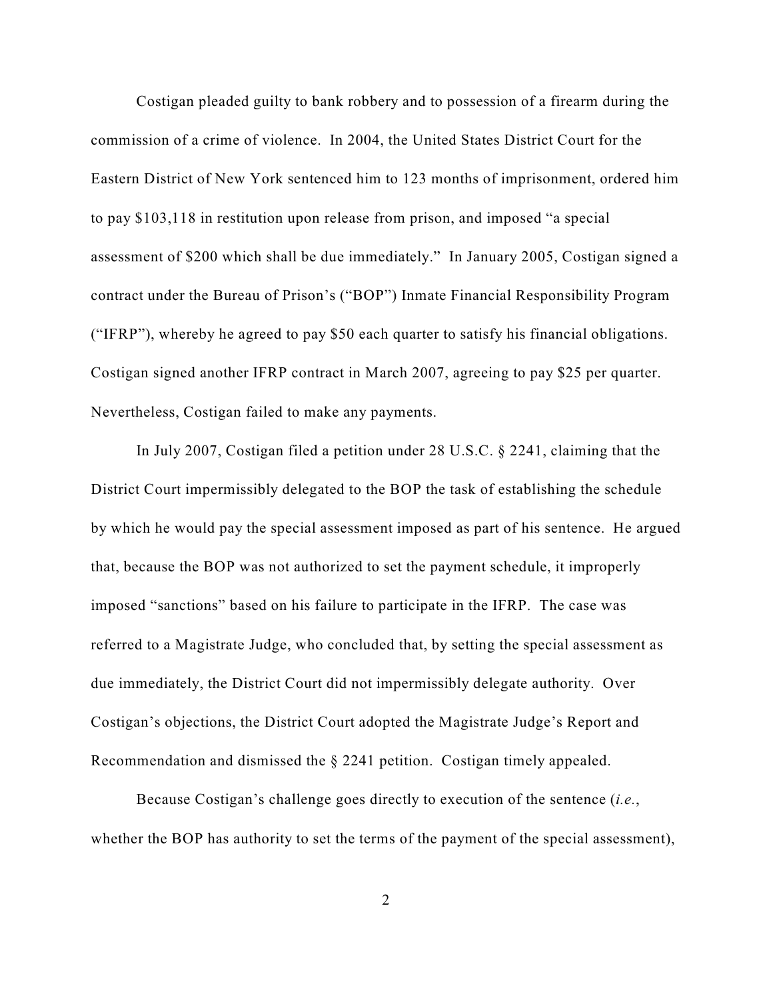Costigan pleaded guilty to bank robbery and to possession of a firearm during the commission of a crime of violence. In 2004, the United States District Court for the Eastern District of New York sentenced him to 123 months of imprisonment, ordered him to pay \$103,118 in restitution upon release from prison, and imposed "a special assessment of \$200 which shall be due immediately." In January 2005, Costigan signed a contract under the Bureau of Prison's ("BOP") Inmate Financial Responsibility Program ("IFRP"), whereby he agreed to pay \$50 each quarter to satisfy his financial obligations. Costigan signed another IFRP contract in March 2007, agreeing to pay \$25 per quarter. Nevertheless, Costigan failed to make any payments.

In July 2007, Costigan filed a petition under 28 U.S.C. § 2241, claiming that the District Court impermissibly delegated to the BOP the task of establishing the schedule by which he would pay the special assessment imposed as part of his sentence. He argued that, because the BOP was not authorized to set the payment schedule, it improperly imposed "sanctions" based on his failure to participate in the IFRP. The case was referred to a Magistrate Judge, who concluded that, by setting the special assessment as due immediately, the District Court did not impermissibly delegate authority. Over Costigan's objections, the District Court adopted the Magistrate Judge's Report and Recommendation and dismissed the § 2241 petition. Costigan timely appealed.

Because Costigan's challenge goes directly to execution of the sentence (*i.e.*, whether the BOP has authority to set the terms of the payment of the special assessment),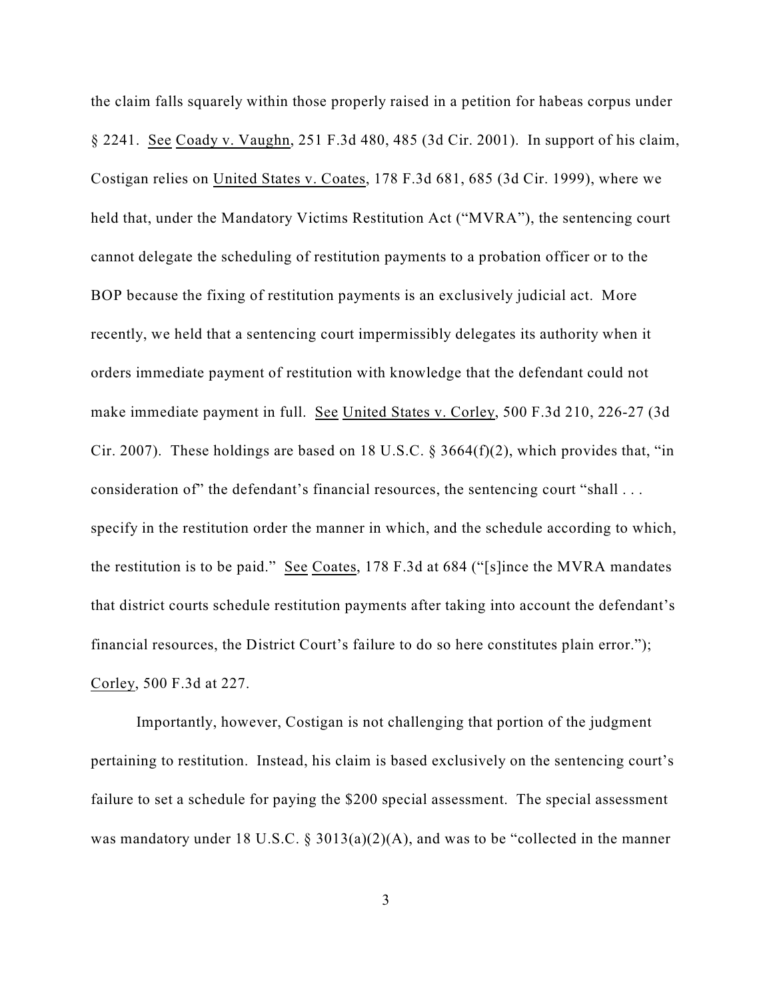the claim falls squarely within those properly raised in a petition for habeas corpus under § 2241. See Coady v. Vaughn, 251 F.3d 480, 485 (3d Cir. 2001). In support of his claim, Costigan relies on United States v. Coates, 178 F.3d 681, 685 (3d Cir. 1999), where we held that, under the Mandatory Victims Restitution Act ("MVRA"), the sentencing court cannot delegate the scheduling of restitution payments to a probation officer or to the BOP because the fixing of restitution payments is an exclusively judicial act. More recently, we held that a sentencing court impermissibly delegates its authority when it orders immediate payment of restitution with knowledge that the defendant could not make immediate payment in full. See United States v. Corley, 500 F.3d 210, 226-27 (3d Cir. 2007). These holdings are based on 18 U.S.C.  $\S$  3664(f)(2), which provides that, "in consideration of" the defendant's financial resources, the sentencing court "shall . . . specify in the restitution order the manner in which, and the schedule according to which, the restitution is to be paid." See Coates, 178 F.3d at 684 ("[s]ince the MVRA mandates that district courts schedule restitution payments after taking into account the defendant's financial resources, the District Court's failure to do so here constitutes plain error."); Corley, 500 F.3d at 227.

Importantly, however, Costigan is not challenging that portion of the judgment pertaining to restitution. Instead, his claim is based exclusively on the sentencing court's failure to set a schedule for paying the \$200 special assessment. The special assessment was mandatory under 18 U.S.C. § 3013(a)(2)(A), and was to be "collected in the manner